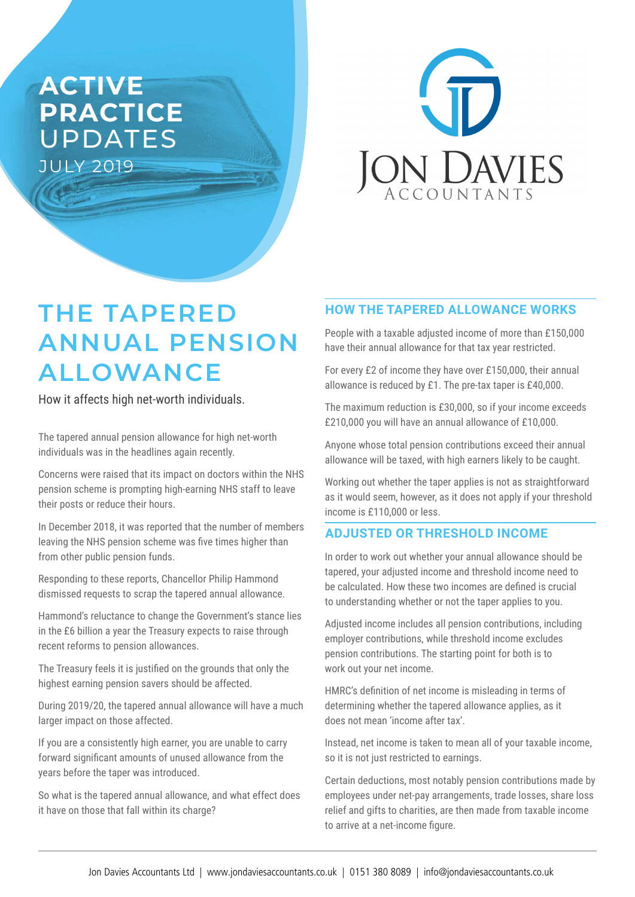# **ACTIVE PRACTICE**  UPDATES JULY 2019



# **THE TAPERED ANNUAL PENSION ALLOWANCE**

How it affects high net-worth individuals.

The tapered annual pension allowance for high net-worth individuals was in the headlines again recently.

Concerns were raised that its impact on doctors within the NHS pension scheme is prompting high-earning NHS staff to leave their posts or reduce their hours.

In December 2018, it was reported that the number of members leaving the NHS pension scheme was five times higher than from other public pension funds.

Responding to these reports, Chancellor Philip Hammond dismissed requests to scrap the tapered annual allowance.

Hammond's reluctance to change the Government's stance lies in the £6 billion a year the Treasury expects to raise through recent reforms to pension allowances.

The Treasury feels it is justified on the grounds that only the highest earning pension savers should be affected.

During 2019/20, the tapered annual allowance will have a much larger impact on those affected.

If you are a consistently high earner, you are unable to carry forward significant amounts of unused allowance from the years before the taper was introduced.

So what is the tapered annual allowance, and what effect does it have on those that fall within its charge?

# **HOW THE TAPERED ALLOWANCE WORKS**

People with a taxable adjusted income of more than £150,000 have their annual allowance for that tax year restricted.

For every £2 of income they have over £150,000, their annual allowance is reduced by £1. The pre-tax taper is £40,000.

The maximum reduction is £30,000, so if your income exceeds £210,000 you will have an annual allowance of £10,000.

Anyone whose total pension contributions exceed their annual allowance will be taxed, with high earners likely to be caught.

Working out whether the taper applies is not as straightforward as it would seem, however, as it does not apply if your threshold income is £110,000 or less.

# **ADJUSTED OR THRESHOLD INCOME**

In order to work out whether your annual allowance should be tapered, your adjusted income and threshold income need to be calculated. How these two incomes are defined is crucial to understanding whether or not the taper applies to you.

Adjusted income includes all pension contributions, including employer contributions, while threshold income excludes pension contributions. The starting point for both is to work out your net income.

HMRC's definition of net income is misleading in terms of determining whether the tapered allowance applies, as it does not mean 'income after tax'.

Instead, net income is taken to mean all of your taxable income, so it is not just restricted to earnings.

Certain deductions, most notably pension contributions made by employees under net-pay arrangements, trade losses, share loss relief and gifts to charities, are then made from taxable income to arrive at a net-income figure.